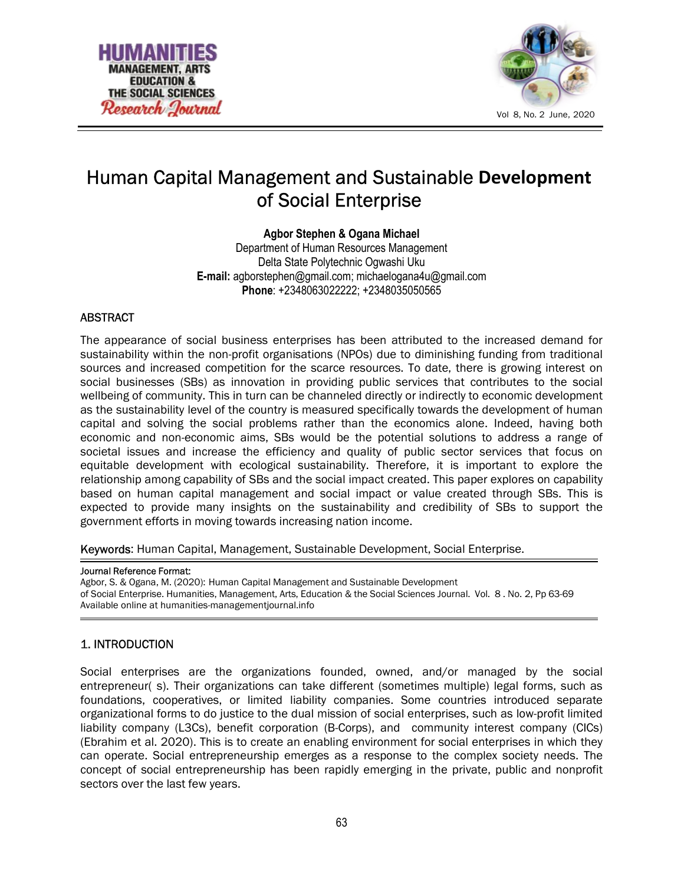



# Human Capital Management and Sustainable Development of Social Enterprise

Agbor Stephen & Ogana Michael Department of Human Resources Management Delta State Polytechnic Ogwashi Uku E-mail: agborstephen@gmail.com; michaelogana4u@gmail.com Phone: +2348063022222; +2348035050565

### ABSTRACT

The appearance of social business enterprises has been attributed to the increased demand for sustainability within the non-profit organisations (NPOs) due to diminishing funding from traditional sources and increased competition for the scarce resources. To date, there is growing interest on social businesses (SBs) as innovation in providing public services that contributes to the social wellbeing of community. This in turn can be channeled directly or indirectly to economic development as the sustainability level of the country is measured specifically towards the development of human capital and solving the social problems rather than the economics alone. Indeed, having both economic and non-economic aims, SBs would be the potential solutions to address a range of societal issues and increase the efficiency and quality of public sector services that focus on equitable development with ecological sustainability. Therefore, it is important to explore the relationship among capability of SBs and the social impact created. This paper explores on capability based on human capital management and social impact or value created through SBs. This is expected to provide many insights on the sustainability and credibility of SBs to support the government efforts in moving towards increasing nation income.

Keywords: Human Capital, Management, Sustainable Development, Social Enterprise.

#### Journal Reference Format:

Agbor, S. & Ogana, M. (2020): Human Capital Management and Sustainable Development of Social Enterprise. Humanities, Management, Arts, Education & the Social Sciences Journal. Vol. 8 . No. 2, Pp 63-69 Available online at humanities-managementjournal.info

### 1. INTRODUCTION

Social enterprises are the organizations founded, owned, and/or managed by the social entrepreneur( s). Their organizations can take different (sometimes multiple) legal forms, such as foundations, cooperatives, or limited liability companies. Some countries introduced separate organizational forms to do justice to the dual mission of social enterprises, such as low-profit limited liability company (L3Cs), benefit corporation (B-Corps), and community interest company (CICs) (Ebrahim et al. 2020). This is to create an enabling environment for social enterprises in which they can operate. Social entrepreneurship emerges as a response to the complex society needs. The concept of social entrepreneurship has been rapidly emerging in the private, public and nonprofit sectors over the last few years.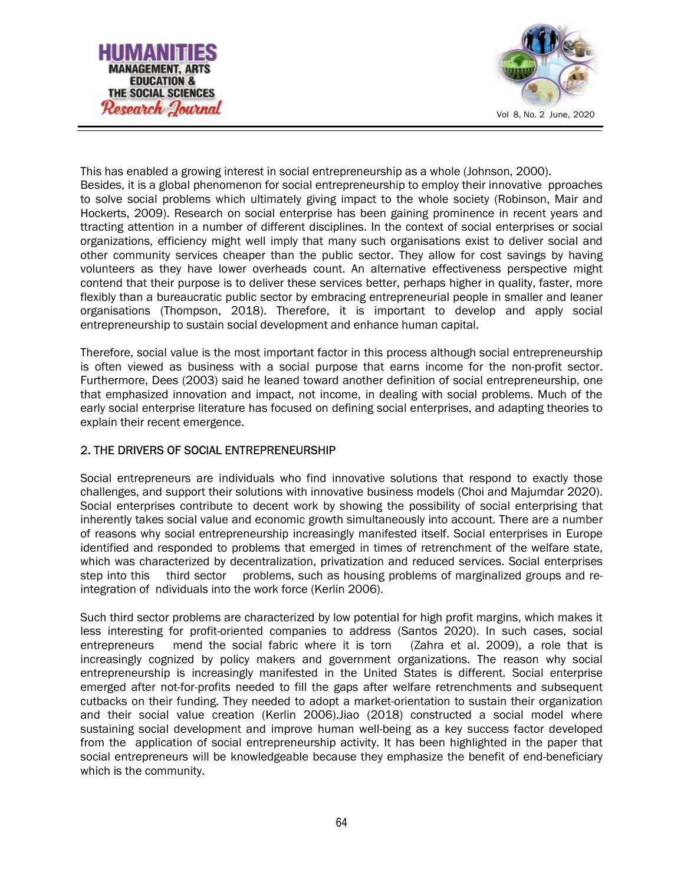



This has enabled a growing interest in social entrepreneurship as a whole (Johnson, 2000). Besides, it is a global phenomenon for social entrepreneurship to employ their innovative pproaches to solve social problems which ultimately giving impact to the whole society (Robinson, Mair and Hockerts, 2009). Research on social enterprise has been gaining prominence in recent years and ttracting attention in a number of different disciplines. In the context of social enterprises or social organizations, efficiency might well imply that many such organisations exist to deliver social and other community services cheaper than the public sector. They allow for cost savings by having volunteers as they have lower overheads count. An alternative effectiveness perspective might contend that their purpose is to deliver these services better, perhaps higher in quality, faster, more flexibly than a bureaucratic public sector by embracing entrepreneurial people in smaller and leaner organisations (Thompson, 2018). Therefore, it is important to develop and apply social entrepreneurship to sustain social development and enhance human capital.

Therefore, social value is the most important factor in this process although social entrepreneurship is often viewed as business with a social purpose that earns income for the non-profit sector. Furthermore, Dees (2003) said he leaned toward another definition of social entrepreneurship, one that emphasized innovation and impact, not income, in dealing with social problems. Much of the early social enterprise literature has focused on defining social enterprises, and adapting theories to explain their recent emergence.

## 2. THE DRIVERS OF SOCIAL ENTREPRENEURSHIP

Social entrepreneurs are individuals who find innovative solutions that respond to exactly those challenges, and support their solutions with innovative business models (Choi and Majumdar 2020). Social enterprises contribute to decent work by showing the possibility of social enterprising that inherently takes social value and economic growth simultaneously into account. There are a number of reasons why social entrepreneurship increasingly manifested itself. Social enterprises in Europe identified and responded to problems that emerged in times of retrenchment of the welfare state, which was characterized by decentralization, privatization and reduced services. Social enterprises step into this third sector problems, such as housing problems of marginalized groups and reintegration of ndividuals into the work force (Kerlin 2006).

Such third sector problems are characterized by low potential for high profit margins, which makes it less interesting for profit-oriented companies to address (Santos 2020). In such cases, social entrepreneurs mend the social fabric where it is torn (Zahra et al. 2009), a role that is increasingly cognized by policy makers and government organizations. The reason why social entrepreneurship is increasingly manifested in the United States is different. Social enterprise emerged after not-for-profits needed to fill the gaps after welfare retrenchments and subsequent cutbacks on their funding. They needed to adopt a market-orientation to sustain their organization and their social value creation (Kerlin 2006).Jiao (2018) constructed a social model where sustaining social development and improve human well-being as a key success factor developed from the application of social entrepreneurship activity. It has been highlighted in the paper that social entrepreneurs will be knowledgeable because they emphasize the benefit of end-beneficiary which is the community.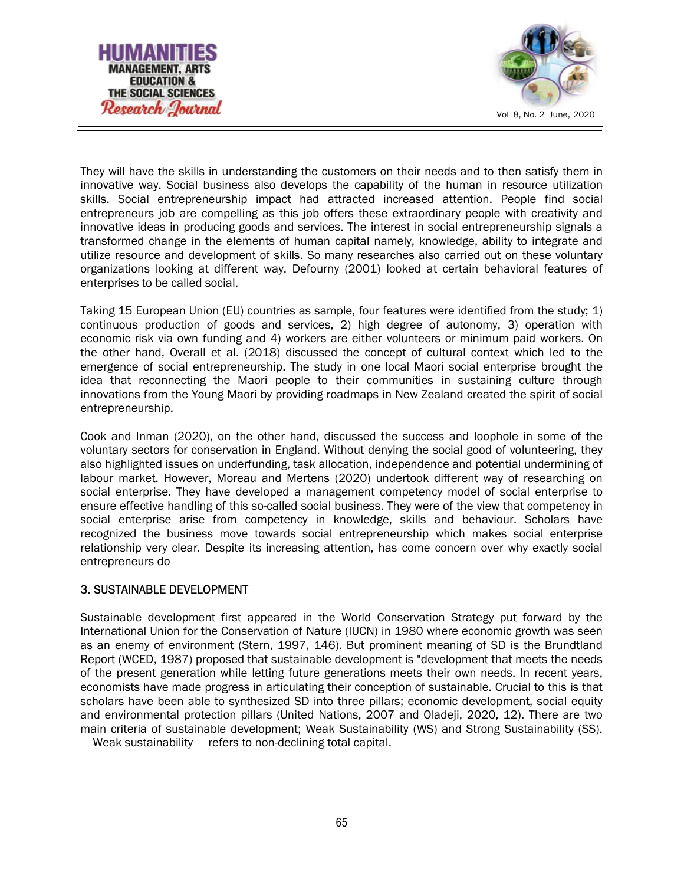



They will have the skills in understanding the customers on their needs and to then satisfy them in innovative way. Social business also develops the capability of the human in resource utilization skills. Social entrepreneurship impact had attracted increased attention. People find social entrepreneurs job are compelling as this job offers these extraordinary people with creativity and innovative ideas in producing goods and services. The interest in social entrepreneurship signals a transformed change in the elements of human capital namely, knowledge, ability to integrate and utilize resource and development of skills. So many researches also carried out on these voluntary organizations looking at different way. Defourny (2001) looked at certain behavioral features of enterprises to be called social.

Taking 15 European Union (EU) countries as sample, four features were identified from the study; 1) continuous production of goods and services, 2) high degree of autonomy, 3) operation with economic risk via own funding and 4) workers are either volunteers or minimum paid workers. On the other hand, Overall et al. (2018) discussed the concept of cultural context which led to the emergence of social entrepreneurship. The study in one local Maori social enterprise brought the idea that reconnecting the Maori people to their communities in sustaining culture through innovations from the Young Maori by providing roadmaps in New Zealand created the spirit of social entrepreneurship.

Cook and Inman (2020), on the other hand, discussed the success and loophole in some of the voluntary sectors for conservation in England. Without denying the social good of volunteering, they also highlighted issues on underfunding, task allocation, independence and potential undermining of labour market. However, Moreau and Mertens (2020) undertook different way of researching on social enterprise. They have developed a management competency model of social enterprise to ensure effective handling of this so-called social business. They were of the view that competency in social enterprise arise from competency in knowledge, skills and behaviour. Scholars have recognized the business move towards social entrepreneurship which makes social enterprise relationship very clear. Despite its increasing attention, has come concern over why exactly social entrepreneurs do

### 3. SUSTAINABLE DEVELOPMENT

Sustainable development first appeared in the World Conservation Strategy put forward by the International Union for the Conservation of Nature (IUCN) in 1980 where economic growth was seen as an enemy of environment (Stern, 1997, 146). But prominent meaning of SD is the Brundtland Report (WCED, 1987) proposed that sustainable development is "development that meets the needs of the present generation while letting future generations meets their own needs. In recent years, economists have made progress in articulating their conception of sustainable. Crucial to this is that scholars have been able to synthesized SD into three pillars; economic development, social equity and environmental protection pillars (United Nations, 2007 and Oladeji, 2020, 12). There are two main criteria of sustainable development; Weak Sustainability (WS) and Strong Sustainability (SS).

Weak sustainability refers to non-declining total capital.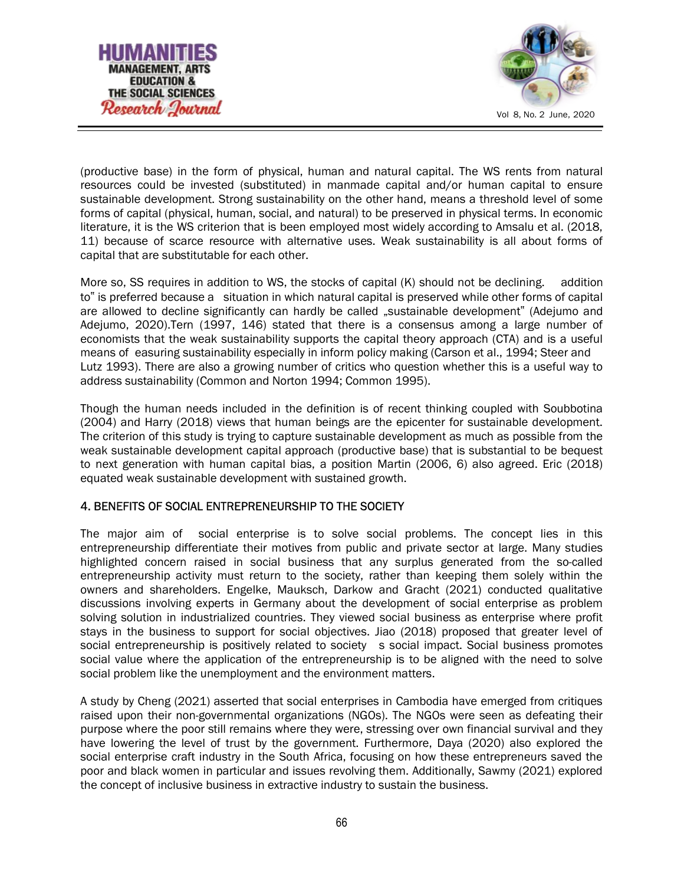



(productive base) in the form of physical, human and natural capital. The WS rents from natural resources could be invested (substituted) in manmade capital and/or human capital to ensure sustainable development. Strong sustainability on the other hand, means a threshold level of some forms of capital (physical, human, social, and natural) to be preserved in physical terms. In economic literature, it is the WS criterion that is been employed most widely according to Amsalu et al. (2018, 11) because of scarce resource with alternative uses. Weak sustainability is all about forms of capital that are substitutable for each other.

More so, SS requires in addition to WS, the stocks of capital (K) should not be declining. addition to" is preferred because a situation in which natural capital is preserved while other forms of capital are allowed to decline significantly can hardly be called "sustainable development" (Adejumo and Adejumo, 2020).Tern (1997, 146) stated that there is a consensus among a large number of economists that the weak sustainability supports the capital theory approach (CTA) and is a useful means of easuring sustainability especially in inform policy making (Carson et al., 1994; Steer and Lutz 1993). There are also a growing number of critics who question whether this is a useful way to address sustainability (Common and Norton 1994; Common 1995).

Though the human needs included in the definition is of recent thinking coupled with Soubbotina (2004) and Harry (2018) views that human beings are the epicenter for sustainable development. The criterion of this study is trying to capture sustainable development as much as possible from the weak sustainable development capital approach (productive base) that is substantial to be bequest to next generation with human capital bias, a position Martin (2006, 6) also agreed. Eric (2018) equated weak sustainable development with sustained growth.

### 4. BENEFITS OF SOCIAL ENTREPRENEURSHIP TO THE SOCIETY

The major aim of social enterprise is to solve social problems. The concept lies in this entrepreneurship differentiate their motives from public and private sector at large. Many studies highlighted concern raised in social business that any surplus generated from the so-called entrepreneurship activity must return to the society, rather than keeping them solely within the owners and shareholders. Engelke, Mauksch, Darkow and Gracht (2021) conducted qualitative discussions involving experts in Germany about the development of social enterprise as problem solving solution in industrialized countries. They viewed social business as enterprise where profit stays in the business to support for social objectives. Jiao (2018) proposed that greater level of social entrepreneurship is positively related to society s social impact. Social business promotes social value where the application of the entrepreneurship is to be aligned with the need to solve social problem like the unemployment and the environment matters.

A study by Cheng (2021) asserted that social enterprises in Cambodia have emerged from critiques raised upon their non-governmental organizations (NGOs). The NGOs were seen as defeating their purpose where the poor still remains where they were, stressing over own financial survival and they have lowering the level of trust by the government. Furthermore, Daya (2020) also explored the social enterprise craft industry in the South Africa, focusing on how these entrepreneurs saved the poor and black women in particular and issues revolving them. Additionally, Sawmy (2021) explored the concept of inclusive business in extractive industry to sustain the business.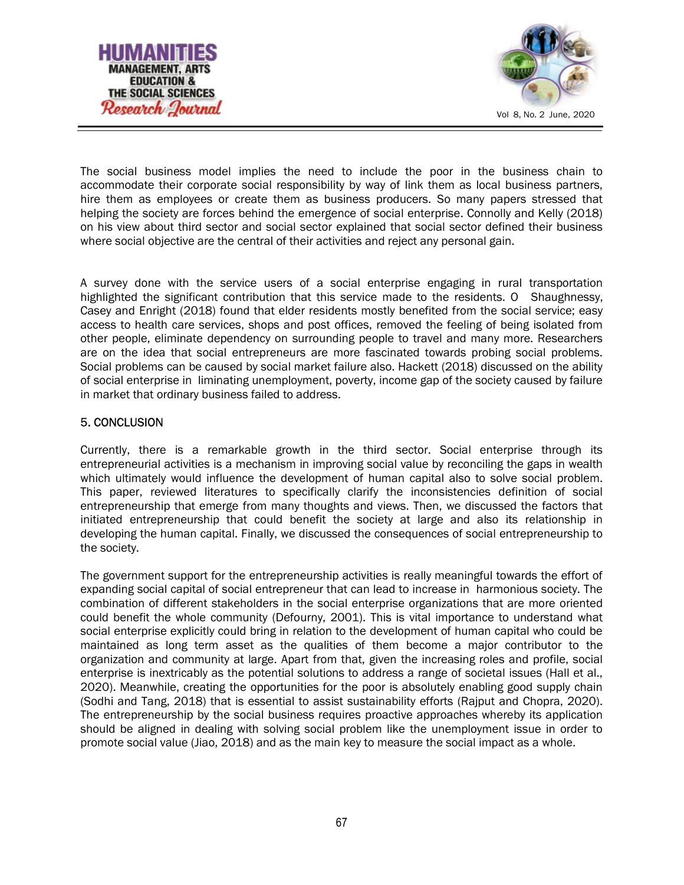



The social business model implies the need to include the poor in the business chain to accommodate their corporate social responsibility by way of link them as local business partners, hire them as employees or create them as business producers. So many papers stressed that helping the society are forces behind the emergence of social enterprise. Connolly and Kelly (2018) on his view about third sector and social sector explained that social sector defined their business where social objective are the central of their activities and reject any personal gain.

A survey done with the service users of a social enterprise engaging in rural transportation highlighted the significant contribution that this service made to the residents. O Shaughnessy, Casey and Enright (2018) found that elder residents mostly benefited from the social service; easy access to health care services, shops and post offices, removed the feeling of being isolated from other people, eliminate dependency on surrounding people to travel and many more. Researchers are on the idea that social entrepreneurs are more fascinated towards probing social problems. Social problems can be caused by social market failure also. Hackett (2018) discussed on the ability of social enterprise in liminating unemployment, poverty, income gap of the society caused by failure in market that ordinary business failed to address.

### 5. CONCLUSION

Currently, there is a remarkable growth in the third sector. Social enterprise through its entrepreneurial activities is a mechanism in improving social value by reconciling the gaps in wealth which ultimately would influence the development of human capital also to solve social problem. This paper, reviewed literatures to specifically clarify the inconsistencies definition of social entrepreneurship that emerge from many thoughts and views. Then, we discussed the factors that initiated entrepreneurship that could benefit the society at large and also its relationship in developing the human capital. Finally, we discussed the consequences of social entrepreneurship to the society.

The government support for the entrepreneurship activities is really meaningful towards the effort of expanding social capital of social entrepreneur that can lead to increase in harmonious society. The combination of different stakeholders in the social enterprise organizations that are more oriented could benefit the whole community (Defourny, 2001). This is vital importance to understand what social enterprise explicitly could bring in relation to the development of human capital who could be maintained as long term asset as the qualities of them become a major contributor to the organization and community at large. Apart from that, given the increasing roles and profile, social enterprise is inextricably as the potential solutions to address a range of societal issues (Hall et al., 2020). Meanwhile, creating the opportunities for the poor is absolutely enabling good supply chain (Sodhi and Tang, 2018) that is essential to assist sustainability efforts (Rajput and Chopra, 2020). The entrepreneurship by the social business requires proactive approaches whereby its application should be aligned in dealing with solving social problem like the unemployment issue in order to promote social value (Jiao, 2018) and as the main key to measure the social impact as a whole.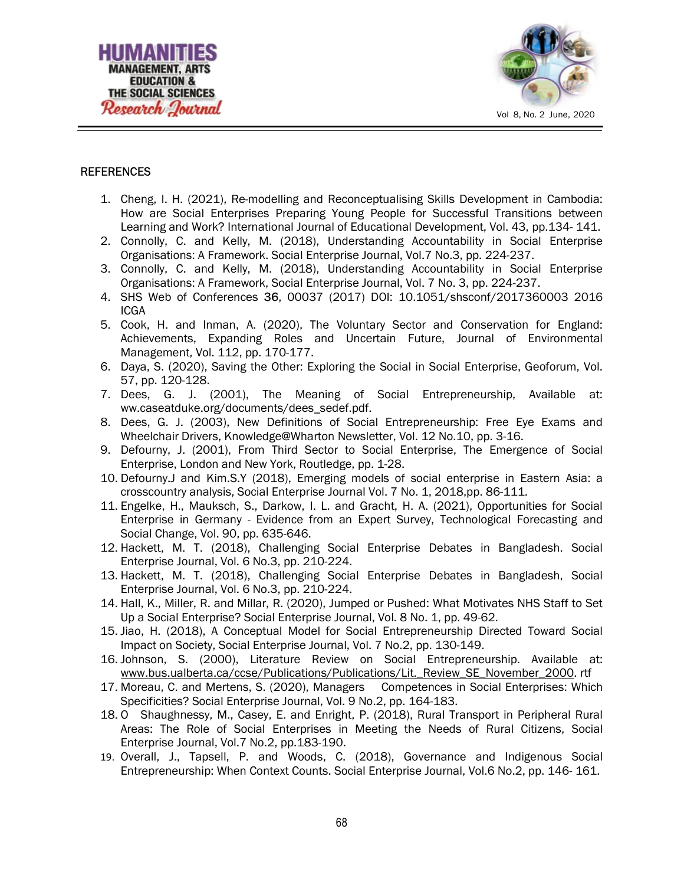



#### **REFERENCES**

- 1. Cheng, I. H. (2021), Re-modelling and Reconceptualising Skills Development in Cambodia: How are Social Enterprises Preparing Young People for Successful Transitions between Learning and Work? International Journal of Educational Development, Vol. 43, pp.134- 141.
- 2. Connolly, C. and Kelly, M. (2018), Understanding Accountability in Social Enterprise Organisations: A Framework. Social Enterprise Journal, Vol.7 No.3, pp. 224-237.
- 3. Connolly, C. and Kelly, M. (2018), Understanding Accountability in Social Enterprise Organisations: A Framework, Social Enterprise Journal, Vol. 7 No. 3, pp. 224-237.
- 4. SHS Web of Conferences 36, 00037 (2017) DOI: 10.1051/shsconf/2017360003 2016 ICGA
- 5. Cook, H. and Inman, A. (2020), The Voluntary Sector and Conservation for England: Achievements, Expanding Roles and Uncertain Future, Journal of Environmental Management, Vol. 112, pp. 170-177.
- 6. Daya, S. (2020), Saving the Other: Exploring the Social in Social Enterprise, Geoforum, Vol. 57, pp. 120-128.
- 7. Dees, G. J. (2001), The Meaning of Social Entrepreneurship, Available at: ww.caseatduke.org/documents/dees\_sedef.pdf.
- 8. Dees, G. J. (2003), New Definitions of Social Entrepreneurship: Free Eye Exams and Wheelchair Drivers, Knowledge@Wharton Newsletter, Vol. 12 No.10, pp. 3-16.
- 9. Defourny, J. (2001), From Third Sector to Social Enterprise, The Emergence of Social Enterprise, London and New York, Routledge, pp. 1-28.
- 10. Defourny.J and Kim.S.Y (2018), Emerging models of social enterprise in Eastern Asia: a crosscountry analysis, Social Enterprise Journal Vol. 7 No. 1, 2018,pp. 86-111.
- 11. Engelke, H., Mauksch, S., Darkow, I. L. and Gracht, H. A. (2021), Opportunities for Social Enterprise in Germany - Evidence from an Expert Survey, Technological Forecasting and Social Change, Vol. 90, pp. 635-646.
- 12. Hackett, M. T. (2018), Challenging Social Enterprise Debates in Bangladesh. Social Enterprise Journal, Vol. 6 No.3, pp. 210-224.
- 13. Hackett, M. T. (2018), Challenging Social Enterprise Debates in Bangladesh, Social Enterprise Journal, Vol. 6 No.3, pp. 210-224.
- 14. Hall, K., Miller, R. and Millar, R. (2020), Jumped or Pushed: What Motivates NHS Staff to Set Up a Social Enterprise? Social Enterprise Journal, Vol. 8 No. 1, pp. 49-62.
- 15. Jiao, H. (2018), A Conceptual Model for Social Entrepreneurship Directed Toward Social Impact on Society, Social Enterprise Journal, Vol. 7 No.2, pp. 130-149.
- 16. Johnson, S. (2000), Literature Review on Social Entrepreneurship. Available at: www.bus.ualberta.ca/ccse/Publications/Publications/Lit.\_Review\_SE\_November\_2000. rtf
- 17. Moreau, C. and Mertens, S. (2020), Managers Competences in Social Enterprises: Which Specificities? Social Enterprise Journal, Vol. 9 No.2, pp. 164-183.
- 18. O Shaughnessy, M., Casey, E. and Enright, P. (2018), Rural Transport in Peripheral Rural Areas: The Role of Social Enterprises in Meeting the Needs of Rural Citizens, Social Enterprise Journal, Vol.7 No.2, pp.183-190.
- 19. Overall, J., Tapsell, P. and Woods, C. (2018), Governance and Indigenous Social Entrepreneurship: When Context Counts. Social Enterprise Journal, Vol.6 No.2, pp. 146- 161.